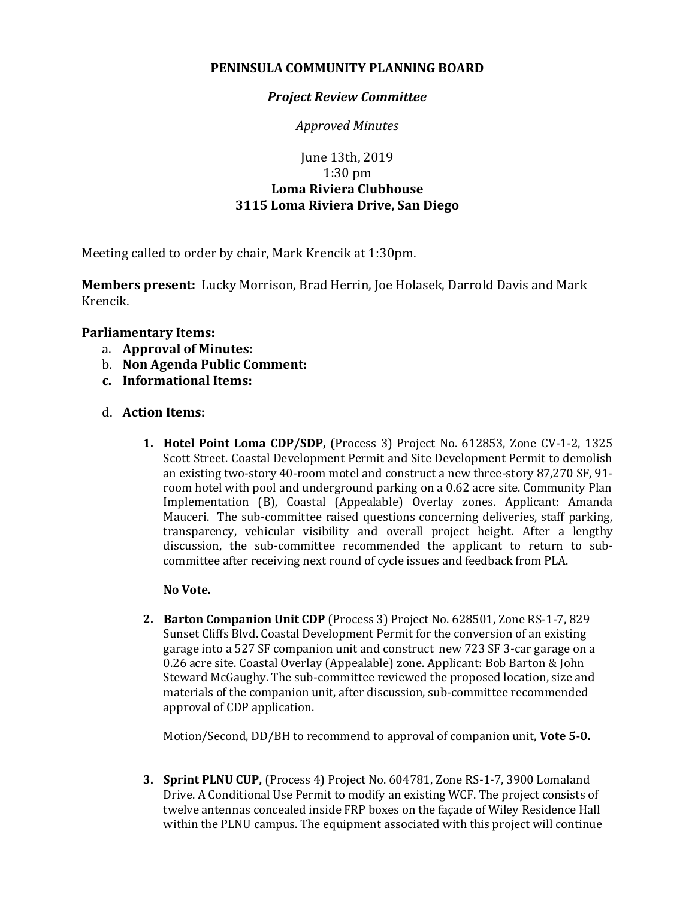## **PENINSULA COMMUNITY PLANNING BOARD**

## *Project Review Committee*

*Approved Minutes*

# June 13th, 2019 1:30 pm **Loma Riviera Clubhouse 3115 Loma Riviera Drive, San Diego**

Meeting called to order by chair, Mark Krencik at 1:30pm.

**Members present:** Lucky Morrison, Brad Herrin, Joe Holasek, Darrold Davis and Mark Krencik.

## **Parliamentary Items:**

- a. **Approval of Minutes**:
- b. **Non Agenda Public Comment:**
- **c. Informational Items:**

### d. **Action Items:**

**1. Hotel Point Loma CDP/SDP,** (Process 3) Project No. 612853, Zone CV-1-2, 1325 Scott Street. Coastal Development Permit and Site Development Permit to demolish an existing two-story 40-room motel and construct a new three-story 87,270 SF, 91 room hotel with pool and underground parking on a 0.62 acre site. Community Plan Implementation (B), Coastal (Appealable) Overlay zones. Applicant: Amanda Mauceri. The sub-committee raised questions concerning deliveries, staff parking, transparency, vehicular visibility and overall project height. After a lengthy discussion, the sub-committee recommended the applicant to return to subcommittee after receiving next round of cycle issues and feedback from PLA.

### **No Vote.**

**2. Barton Companion Unit CDP** (Process 3) Project No. 628501, Zone RS-1-7, 829 Sunset Cliffs Blvd. Coastal Development Permit for the conversion of an existing garage into a 527 SF companion unit and construct new 723 SF 3-car garage on a 0.26 acre site. Coastal Overlay (Appealable) zone. Applicant: Bob Barton & John Steward McGaughy. The sub-committee reviewed the proposed location, size and materials of the companion unit, after discussion, sub-committee recommended approval of CDP application.

Motion/Second, DD/BH to recommend to approval of companion unit, **Vote 5-0.**

**3. Sprint PLNU CUP,** (Process 4) Project No. 604781, Zone RS-1-7, 3900 Lomaland Drive. A Conditional Use Permit to modify an existing WCF. The project consists of twelve antennas concealed inside FRP boxes on the façade of Wiley Residence Hall within the PLNU campus. The equipment associated with this project will continue